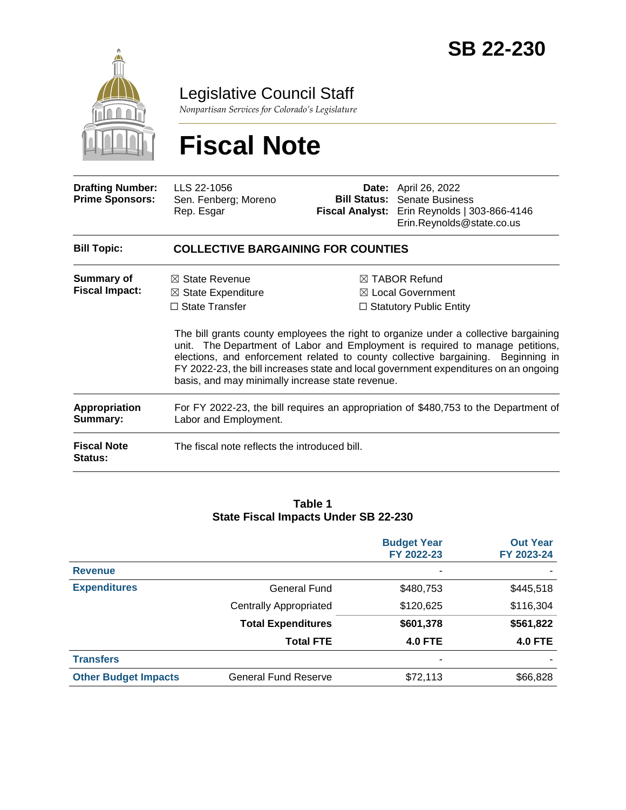

Legislative Council Staff

*Nonpartisan Services for Colorado's Legislature*

# **Fiscal Note**

| <b>Drafting Number:</b><br><b>Prime Sponsors:</b> | LLS 22-1056<br>Sen. Fenberg; Moreno<br>Rep. Esgar                                                                                       |  | <b>Date:</b> April 26, 2022<br><b>Bill Status:</b> Senate Business<br>Fiscal Analyst: Erin Reynolds   303-866-4146<br>Erin.Reynolds@state.co.us                                                                                                                                                                                                                                                                                                 |  |  |
|---------------------------------------------------|-----------------------------------------------------------------------------------------------------------------------------------------|--|-------------------------------------------------------------------------------------------------------------------------------------------------------------------------------------------------------------------------------------------------------------------------------------------------------------------------------------------------------------------------------------------------------------------------------------------------|--|--|
| <b>Bill Topic:</b>                                | <b>COLLECTIVE BARGAINING FOR COUNTIES</b>                                                                                               |  |                                                                                                                                                                                                                                                                                                                                                                                                                                                 |  |  |
| Summary of<br><b>Fiscal Impact:</b>               | $\boxtimes$ State Revenue<br>$\boxtimes$ State Expenditure<br>$\Box$ State Transfer<br>basis, and may minimally increase state revenue. |  | $\boxtimes$ TABOR Refund<br>$\boxtimes$ Local Government<br>$\Box$ Statutory Public Entity<br>The bill grants county employees the right to organize under a collective bargaining<br>unit. The Department of Labor and Employment is required to manage petitions,<br>elections, and enforcement related to county collective bargaining. Beginning in<br>FY 2022-23, the bill increases state and local government expenditures on an ongoing |  |  |
| <b>Appropriation</b><br>Summary:                  | For FY 2022-23, the bill requires an appropriation of \$480,753 to the Department of<br>Labor and Employment.                           |  |                                                                                                                                                                                                                                                                                                                                                                                                                                                 |  |  |
| <b>Fiscal Note</b><br><b>Status:</b>              | The fiscal note reflects the introduced bill.                                                                                           |  |                                                                                                                                                                                                                                                                                                                                                                                                                                                 |  |  |

#### **Table 1 State Fiscal Impacts Under SB 22-230**

|                             |                               | <b>Budget Year</b><br>FY 2022-23 | <b>Out Year</b><br>FY 2023-24 |
|-----------------------------|-------------------------------|----------------------------------|-------------------------------|
| <b>Revenue</b>              |                               |                                  |                               |
| <b>Expenditures</b>         | <b>General Fund</b>           | \$480,753                        | \$445,518                     |
|                             | <b>Centrally Appropriated</b> | \$120,625                        | \$116,304                     |
|                             | <b>Total Expenditures</b>     | \$601,378                        | \$561,822                     |
|                             | <b>Total FTE</b>              | <b>4.0 FTE</b>                   | <b>4.0 FTE</b>                |
| <b>Transfers</b>            |                               | -                                |                               |
| <b>Other Budget Impacts</b> | <b>General Fund Reserve</b>   | \$72,113                         | \$66,828                      |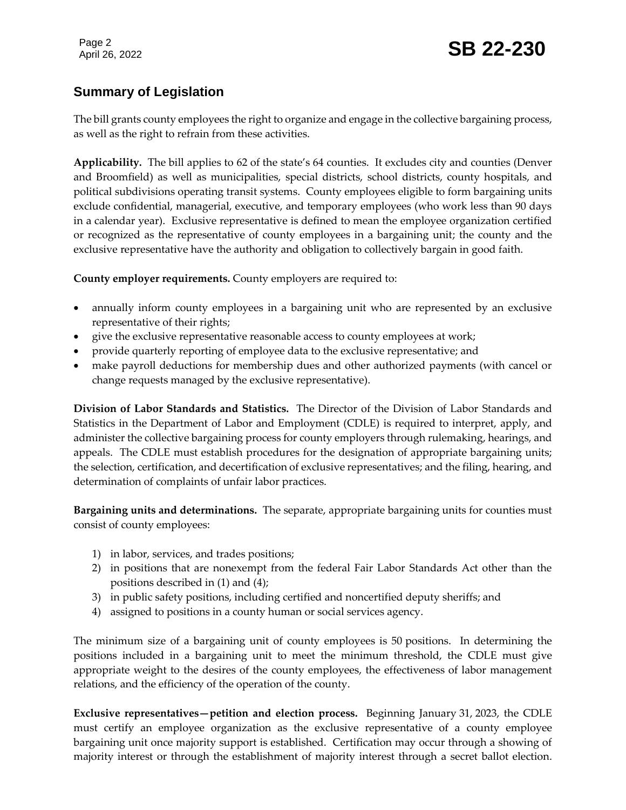# **Summary of Legislation**

The bill grants county employees the right to organize and engage in the collective bargaining process, as well as the right to refrain from these activities.

**Applicability.** The bill applies to 62 of the state's 64 counties. It excludes city and counties (Denver and Broomfield) as well as municipalities, special districts, school districts, county hospitals, and political subdivisions operating transit systems. County employees eligible to form bargaining units exclude confidential, managerial, executive, and temporary employees (who work less than 90 days in a calendar year). Exclusive representative is defined to mean the employee organization certified or recognized as the representative of county employees in a bargaining unit; the county and the exclusive representative have the authority and obligation to collectively bargain in good faith.

**County employer requirements.** County employers are required to:

- annually inform county employees in a bargaining unit who are represented by an exclusive representative of their rights;
- give the exclusive representative reasonable access to county employees at work;
- provide quarterly reporting of employee data to the exclusive representative; and
- make payroll deductions for membership dues and other authorized payments (with cancel or change requests managed by the exclusive representative).

**Division of Labor Standards and Statistics.** The Director of the Division of Labor Standards and Statistics in the Department of Labor and Employment (CDLE) is required to interpret, apply, and administer the collective bargaining process for county employers through rulemaking, hearings, and appeals. The CDLE must establish procedures for the designation of appropriate bargaining units; the selection, certification, and decertification of exclusive representatives; and the filing, hearing, and determination of complaints of unfair labor practices.

**Bargaining units and determinations.** The separate, appropriate bargaining units for counties must consist of county employees:

- 1) in labor, services, and trades positions;
- 2) in positions that are nonexempt from the federal Fair Labor Standards Act other than the positions described in (1) and (4);
- 3) in public safety positions, including certified and noncertified deputy sheriffs; and
- 4) assigned to positions in a county human or social services agency.

The minimum size of a bargaining unit of county employees is 50 positions. In determining the positions included in a bargaining unit to meet the minimum threshold, the CDLE must give appropriate weight to the desires of the county employees, the effectiveness of labor management relations, and the efficiency of the operation of the county.

**Exclusive representatives—petition and election process.** Beginning January 31, 2023, the CDLE must certify an employee organization as the exclusive representative of a county employee bargaining unit once majority support is established. Certification may occur through a showing of majority interest or through the establishment of majority interest through a secret ballot election.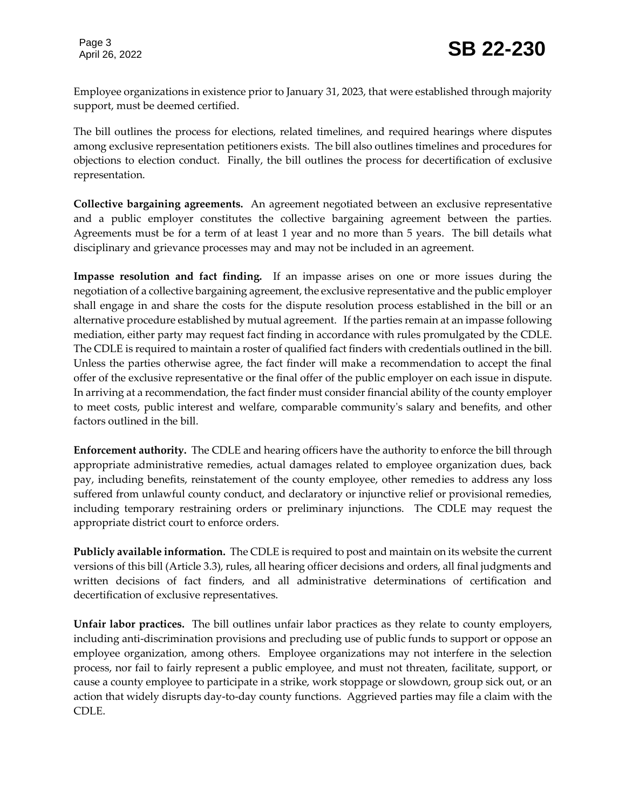Employee organizations in existence prior to January 31, 2023, that were established through majority support, must be deemed certified.

The bill outlines the process for elections, related timelines, and required hearings where disputes among exclusive representation petitioners exists. The bill also outlines timelines and procedures for objections to election conduct. Finally, the bill outlines the process for decertification of exclusive representation.

**Collective bargaining agreements.** An agreement negotiated between an exclusive representative and a public employer constitutes the collective bargaining agreement between the parties. Agreements must be for a term of at least 1 year and no more than 5 years. The bill details what disciplinary and grievance processes may and may not be included in an agreement.

**Impasse resolution and fact finding.** If an impasse arises on one or more issues during the negotiation of a collective bargaining agreement, the exclusive representative and the public employer shall engage in and share the costs for the dispute resolution process established in the bill or an alternative procedure established by mutual agreement. If the parties remain at an impasse following mediation, either party may request fact finding in accordance with rules promulgated by the CDLE. The CDLE is required to maintain a roster of qualified fact finders with credentials outlined in the bill. Unless the parties otherwise agree, the fact finder will make a recommendation to accept the final offer of the exclusive representative or the final offer of the public employer on each issue in dispute. In arriving at a recommendation, the fact finder must consider financial ability of the county employer to meet costs, public interest and welfare, comparable community's salary and benefits, and other factors outlined in the bill.

**Enforcement authority.** The CDLE and hearing officers have the authority to enforce the bill through appropriate administrative remedies, actual damages related to employee organization dues, back pay, including benefits, reinstatement of the county employee, other remedies to address any loss suffered from unlawful county conduct, and declaratory or injunctive relief or provisional remedies, including temporary restraining orders or preliminary injunctions. The CDLE may request the appropriate district court to enforce orders.

**Publicly available information.** The CDLE is required to post and maintain on its website the current versions of this bill (Article 3.3), rules, all hearing officer decisions and orders, all final judgments and written decisions of fact finders, and all administrative determinations of certification and decertification of exclusive representatives.

**Unfair labor practices.** The bill outlines unfair labor practices as they relate to county employers, including anti-discrimination provisions and precluding use of public funds to support or oppose an employee organization, among others. Employee organizations may not interfere in the selection process, nor fail to fairly represent a public employee, and must not threaten, facilitate, support, or cause a county employee to participate in a strike, work stoppage or slowdown, group sick out, or an action that widely disrupts day-to-day county functions. Aggrieved parties may file a claim with the CDLE.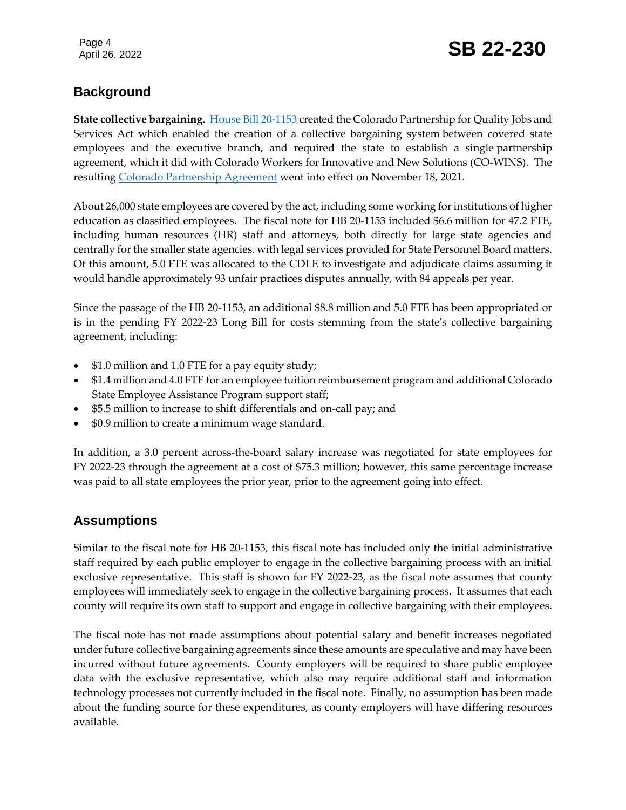# April 26, 2022 **SB 22-230**

# **Background**

**State collective bargaining.** [House Bill 20-1153](https://leg.colorado.gov/bills/hb20-1153) created the Colorado Partnership for Quality Jobs and Services Act which enabled the creation of a collective bargaining system between covered state employees and the executive branch, and required the state to establish a single partnership agreement, which it did with Colorado Workers for Innovative and New Solutions (CO-WINS). The resulting [Colorado Partnership Agreement](https://drive.google.com/file/d/1250Sqhff0LS6gWL_qyY0z0iZfnhFxB1D/view) went into effect on November 18, 2021.

About 26,000 state employees are covered by the act, including some working for institutions of higher education as classified employees. The fiscal note for HB 20-1153 included \$6.6 million for 47.2 FTE, including human resources (HR) staff and attorneys, both directly for large state agencies and centrally for the smaller state agencies, with legal services provided for State Personnel Board matters. Of this amount, 5.0 FTE was allocated to the CDLE to investigate and adjudicate claims assuming it would handle approximately 93 unfair practices disputes annually, with 84 appeals per year.

Since the passage of the HB 20-1153, an additional \$8.8 million and 5.0 FTE has been appropriated or is in the pending FY 2022-23 Long Bill for costs stemming from the state's collective bargaining agreement, including:

- \$1.0 million and 1.0 FTE for a pay equity study;
- \$1.4 million and 4.0 FTE for an employee tuition reimbursement program and additional Colorado State Employee Assistance Program support staff;
- \$5.5 million to increase to shift differentials and on-call pay; and
- \$0.9 million to create a minimum wage standard.

In addition, a 3.0 percent across-the-board salary increase was negotiated for state employees for FY 2022-23 through the agreement at a cost of \$75.3 million; however, this same percentage increase was paid to all state employees the prior year, prior to the agreement going into effect.

### **Assumptions**

Similar to the fiscal note for HB 20-1153, this fiscal note has included only the initial administrative staff required by each public employer to engage in the collective bargaining process with an initial exclusive representative. This staff is shown for FY 2022-23, as the fiscal note assumes that county employees will immediately seek to engage in the collective bargaining process. It assumes that each county will require its own staff to support and engage in collective bargaining with their employees.

The fiscal note has not made assumptions about potential salary and benefit increases negotiated under future collective bargaining agreements since these amounts are speculative and may have been incurred without future agreements. County employers will be required to share public employee data with the exclusive representative, which also may require additional staff and information technology processes not currently included in the fiscal note. Finally, no assumption has been made about the funding source for these expenditures, as county employers will have differing resources available.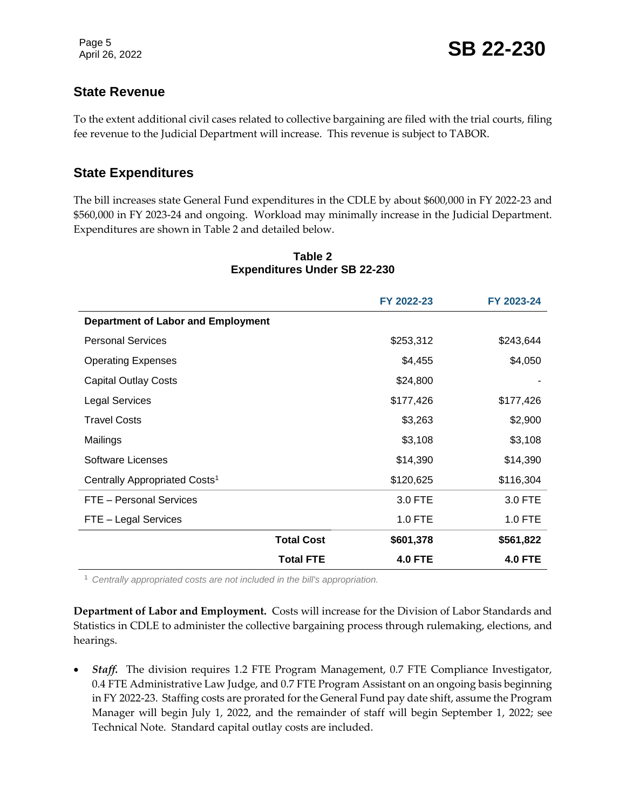#### **State Revenue**

To the extent additional civil cases related to collective bargaining are filed with the trial courts, filing fee revenue to the Judicial Department will increase. This revenue is subject to TABOR.

#### **State Expenditures**

The bill increases state General Fund expenditures in the CDLE by about \$600,000 in FY 2022-23 and \$560,000 in FY 2023-24 and ongoing. Workload may minimally increase in the Judicial Department. Expenditures are shown in Table 2 and detailed below.

|                                           |                   | FY 2022-23     | FY 2023-24     |
|-------------------------------------------|-------------------|----------------|----------------|
| <b>Department of Labor and Employment</b> |                   |                |                |
| <b>Personal Services</b>                  |                   | \$253,312      | \$243,644      |
| <b>Operating Expenses</b>                 |                   | \$4,455        | \$4,050        |
| <b>Capital Outlay Costs</b>               |                   | \$24,800       |                |
| <b>Legal Services</b>                     |                   | \$177,426      | \$177,426      |
| <b>Travel Costs</b>                       |                   | \$3,263        | \$2,900        |
| Mailings                                  |                   | \$3,108        | \$3,108        |
| Software Licenses                         |                   | \$14,390       | \$14,390       |
| Centrally Appropriated Costs <sup>1</sup> |                   | \$120,625      | \$116,304      |
| FTE - Personal Services                   |                   | 3.0 FTE        | 3.0 FTE        |
| FTE - Legal Services                      |                   | $1.0$ FTE      | 1.0 FTE        |
|                                           | <b>Total Cost</b> | \$601,378      | \$561,822      |
|                                           | <b>Total FTE</b>  | <b>4.0 FTE</b> | <b>4.0 FTE</b> |

#### **Table 2 Expenditures Under SB 22-230**

<sup>1</sup> *Centrally appropriated costs are not included in the bill's appropriation.*

**Department of Labor and Employment.** Costs will increase for the Division of Labor Standards and Statistics in CDLE to administer the collective bargaining process through rulemaking, elections, and hearings.

• Staff. The division requires 1.2 FTE Program Management, 0.7 FTE Compliance Investigator, 0.4 FTE Administrative Law Judge, and 0.7 FTE Program Assistant on an ongoing basis beginning in FY 2022-23. Staffing costs are prorated for the General Fund pay date shift, assume the Program Manager will begin July 1, 2022, and the remainder of staff will begin September 1, 2022; see Technical Note. Standard capital outlay costs are included.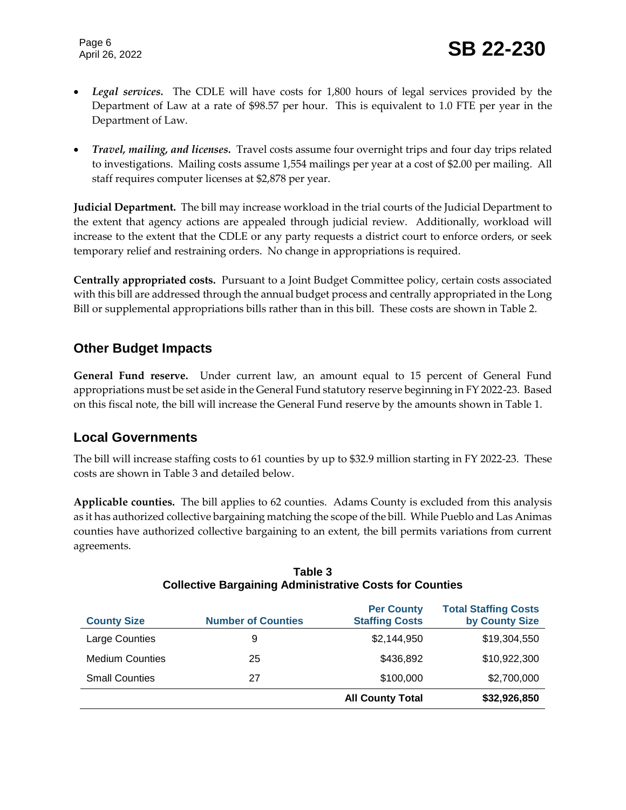- *Legal services.*The CDLE will have costs for 1,800 hours of legal services provided by the Department of Law at a rate of \$98.57 per hour. This is equivalent to 1.0 FTE per year in the Department of Law.
- *Travel, mailing, and licenses.* Travel costs assume four overnight trips and four day trips related to investigations. Mailing costs assume 1,554 mailings per year at a cost of \$2.00 per mailing. All staff requires computer licenses at \$2,878 per year.

**Judicial Department.** The bill may increase workload in the trial courts of the Judicial Department to the extent that agency actions are appealed through judicial review. Additionally, workload will increase to the extent that the CDLE or any party requests a district court to enforce orders, or seek temporary relief and restraining orders. No change in appropriations is required.

**Centrally appropriated costs.** Pursuant to a Joint Budget Committee policy, certain costs associated with this bill are addressed through the annual budget process and centrally appropriated in the Long Bill or supplemental appropriations bills rather than in this bill. These costs are shown in Table 2.

### **Other Budget Impacts**

**General Fund reserve.** Under current law, an amount equal to 15 percent of General Fund appropriations must be set aside in the General Fund statutory reserve beginning in FY 2022-23. Based on this fiscal note, the bill will increase the General Fund reserve by the amounts shown in Table 1.

### **Local Governments**

The bill will increase staffing costs to 61 counties by up to \$32.9 million starting in FY 2022-23. These costs are shown in Table 3 and detailed below.

**Applicable counties.** The bill applies to 62 counties. Adams County is excluded from this analysis as it has authorized collective bargaining matching the scope of the bill. While Pueblo and Las Animas counties have authorized collective bargaining to an extent, the bill permits variations from current agreements.

| <b>County Size</b>     | <b>Number of Counties</b> | <b>Per County</b><br><b>Staffing Costs</b> | <b>Total Staffing Costs</b><br>by County Size |
|------------------------|---------------------------|--------------------------------------------|-----------------------------------------------|
| Large Counties         | 9                         | \$2,144,950                                | \$19,304,550                                  |
| <b>Medium Counties</b> | 25                        | \$436,892                                  | \$10,922,300                                  |
| <b>Small Counties</b>  | 27                        | \$100,000                                  | \$2,700,000                                   |
|                        |                           | <b>All County Total</b>                    | \$32,926,850                                  |

#### **Table 3 Collective Bargaining Administrative Costs for Counties**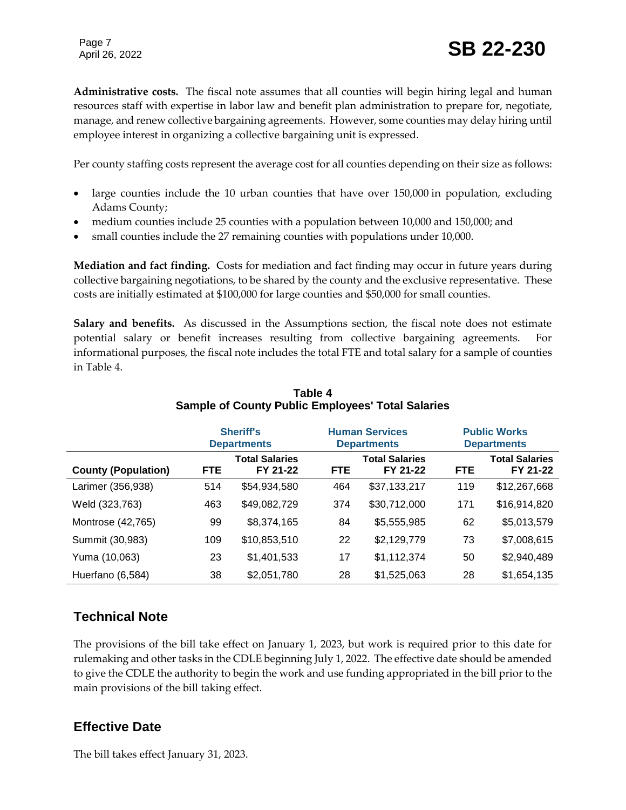# Page 7<br>April 26, 2022 **SB** 22-230

**Administrative costs.** The fiscal note assumes that all counties will begin hiring legal and human resources staff with expertise in labor law and benefit plan administration to prepare for, negotiate, manage, and renew collective bargaining agreements. However, some counties may delay hiring until employee interest in organizing a collective bargaining unit is expressed.

Per county staffing costs represent the average cost for all counties depending on their size as follows:

- large counties include the 10 urban counties that have over 150,000 in population, excluding Adams County;
- medium counties include 25 counties with a population between 10,000 and 150,000; and
- small counties include the 27 remaining counties with populations under 10,000.

**Mediation and fact finding.** Costs for mediation and fact finding may occur in future years during collective bargaining negotiations, to be shared by the county and the exclusive representative. These costs are initially estimated at \$100,000 for large counties and \$50,000 for small counties.

**Salary and benefits.** As discussed in the Assumptions section, the fiscal note does not estimate potential salary or benefit increases resulting from collective bargaining agreements. informational purposes, the fiscal note includes the total FTE and total salary for a sample of counties in Table 4.

|                            |            | <b>Sheriff's</b>                  |                    | <b>Human Services</b>             |                    | <b>Public Works</b>               |
|----------------------------|------------|-----------------------------------|--------------------|-----------------------------------|--------------------|-----------------------------------|
|                            |            | <b>Departments</b>                | <b>Departments</b> |                                   | <b>Departments</b> |                                   |
| <b>County (Population)</b> | <b>FTE</b> | <b>Total Salaries</b><br>FY 21-22 | <b>FTE</b>         | <b>Total Salaries</b><br>FY 21-22 | <b>FTE</b>         | <b>Total Salaries</b><br>FY 21-22 |
| Larimer (356,938)          | 514        | \$54,934,580                      | 464                | \$37,133,217                      | 119                | \$12,267,668                      |
| Weld (323,763)             | 463        | \$49,082,729                      | 374                | \$30,712,000                      | 171                | \$16,914,820                      |
| Montrose (42,765)          | 99         | \$8,374,165                       | 84                 | \$5,555,985                       | 62                 | \$5,013,579                       |
| Summit (30,983)            | 109        | \$10,853,510                      | 22                 | \$2,129,779                       | 73                 | \$7,008,615                       |
| Yuma (10,063)              | 23         | \$1,401,533                       | 17                 | \$1,112,374                       | 50                 | \$2,940,489                       |
| Huerfano (6,584)           | 38         | \$2,051,780                       | 28                 | \$1,525,063                       | 28                 | \$1,654,135                       |

#### **Table 4 Sample of County Public Employees' Total Salaries**

### **Technical Note**

The provisions of the bill take effect on January 1, 2023, but work is required prior to this date for rulemaking and other tasks in the CDLE beginning July 1, 2022. The effective date should be amended to give the CDLE the authority to begin the work and use funding appropriated in the bill prior to the main provisions of the bill taking effect.

#### **Effective Date**

The bill takes effect January 31, 2023.